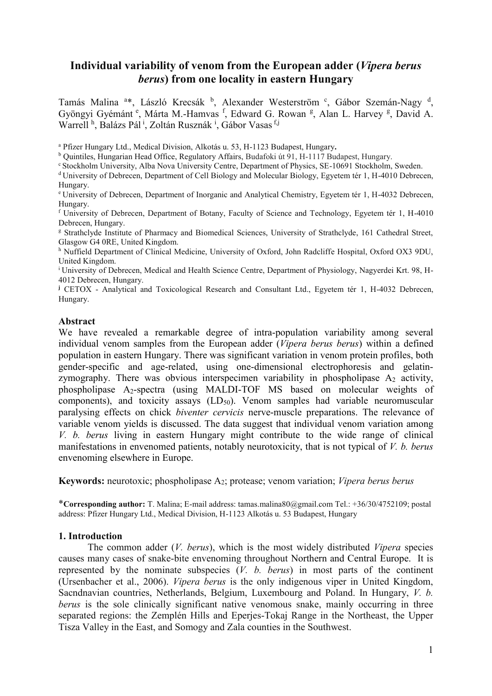## **Individual variability of venom from the European adder (***Vipera berus berus***) from one locality in eastern Hungary**

Tamás Malina <sup>a\*</sup>, László Krecsák <sup>b</sup>, Alexander Westerström <sup>c</sup>, Gábor Szemán-Nagy <sup>d</sup>, Gyöngyi Gyémánt<sup>e</sup>, Márta M.-Hamvas<sup>f</sup>, Edward G. Rowan<sup>g</sup>, Alan L. Harvey<sup>g</sup>, David A. Warrell<sup>h</sup>, Balázs Pál<sup>i</sup>, Zoltán Rusznák<sup>i</sup>, Gábor Vasas<sup>fj</sup>

<sup>a</sup> Pfizer Hungary Ltd., Medical Division, Alkotás u. 53, H-1123 Budapest, Hungary**.**

<sup>b</sup> Quintiles, Hungarian Head Office, Regulatory Affairs, Budafoki út 91, H-1117 Budapest, Hungary.

<sup>c</sup> Stockholm University, Alba Nova University Centre, Department of Physics, SE-10691 Stockholm, Sweden.

<sup>d</sup> University of Debrecen, Department of Cell Biology and Molecular Biology, Egyetem tér 1, H-4010 Debrecen, Hungary.

<sup>e</sup> University of Debrecen, Department of Inorganic and Analytical Chemistry, Egyetem tér 1, H-4032 Debrecen, Hungary.

<sup>f</sup> University of Debrecen, Department of Botany, Faculty of Science and Technology, Egyetem tér 1, H-4010 Debrecen, Hungary.

<sup>g</sup> Strathclyde Institute of Pharmacy and Biomedical Sciences, University of Strathclyde, 161 Cathedral Street, Glasgow G4 0RE, United Kingdom.

h Nuffield Department of Clinical Medicine, University of Oxford, John Radcliffe Hospital, Oxford OX3 9DU, United Kingdom.

<sup>i</sup> University of Debrecen, Medical and Health Science Centre, Department of Physiology, Nagyerdei Krt. 98, H-4012 Debrecen, Hungary.

**<sup>j</sup>** CETOX - Analytical and Toxicological Research and Consultant Ltd., Egyetem tér 1, H-4032 Debrecen, Hungary.

### **Abstract**

We have revealed a remarkable degree of intra-population variability among several individual venom samples from the European adder (*Vipera berus berus*) within a defined population in eastern Hungary. There was significant variation in venom protein profiles, both gender-specific and age-related, using one-dimensional electrophoresis and gelatinzymography. There was obvious interspecimen variability in phospholipase  $A_2$  activity, phospholipase A2-spectra (using MALDI-TOF MS based on molecular weights of components), and toxicity assays  $(LD_{50})$ . Venom samples had variable neuromuscular paralysing effects on chick *biventer cervicis* nerve-muscle preparations. The relevance of variable venom yields is discussed. The data suggest that individual venom variation among *V. b. berus* living in eastern Hungary might contribute to the wide range of clinical manifestations in envenomed patients, notably neurotoxicity, that is not typical of *V. b. berus* envenoming elsewhere in Europe.

**Keywords:** neurotoxic; phospholipase A2; protease; venom variation; *Vipera berus berus* 

\***Corresponding author:** T. Malina; E-mail address: tamas.malina80@gmail.com Tel.: +36/30/4752109; postal address: Pfizer Hungary Ltd., Medical Division, H-1123 Alkotás u. 53 Budapest, Hungary

#### **1. Introduction**

The common adder (*V. berus*), which is the most widely distributed *Vipera* species causes many cases of snake-bite envenoming throughout Northern and Central Europe. It is represented by the nominate subspecies (*V. b. berus*) in most parts of the continent (Ursenbacher et al., 2006). *Vipera berus* is the only indigenous viper in United Kingdom, Sacndnavian countries, Netherlands, Belgium, Luxembourg and Poland. In Hungary, *V. b. berus* is the sole clinically significant native venomous snake, mainly occurring in three separated regions: the Zemplén Hills and Eperjes-Tokaj Range in the Northeast, the Upper Tisza Valley in the East, and Somogy and Zala counties in the Southwest.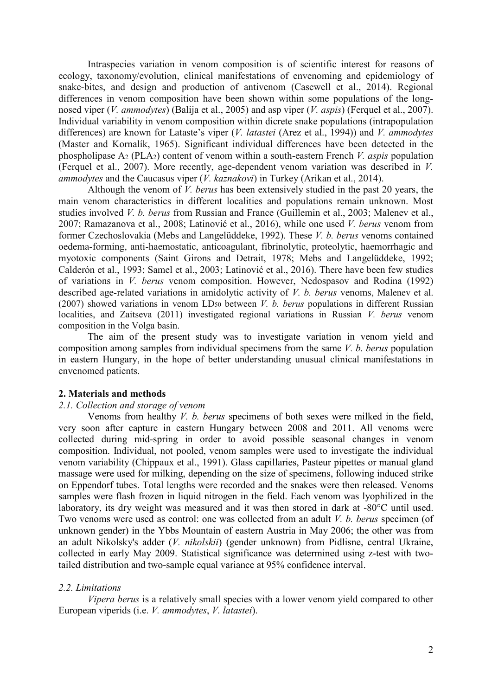Intraspecies variation in venom composition is of scientific interest for reasons of ecology, taxonomy/evolution, clinical manifestations of envenoming and epidemiology of snake-bites, and design and production of antivenom (Casewell et al., 2014). Regional differences in venom composition have been shown within some populations of the longnosed viper (*V. ammodytes*) (Balija et al., 2005) and asp viper (*V. aspis*) (Ferquel et al., 2007). Individual variability in venom composition within dicrete snake populations (intrapopulation differences) are known for Lataste's viper (*V. latastei* (Arez et al., 1994)) and *V. ammodytes* (Master and Kornalík, 1965). Significant individual differences have been detected in the phospholipase A<sup>2</sup> (PLA2) content of venom within a south-eastern French *V. aspis* population (Ferquel et al., 2007). More recently, age-dependent venom variation was described in *V. ammodytes* and the Caucasus viper (*V. kaznakovi*) in Turkey (Arikan et al., 2014).

Although the venom of *V. berus* has been extensively studied in the past 20 years, the main venom characteristics in different localities and populations remain unknown. Most studies involved *V. b. berus* from Russian and France (Guillemin et al., 2003; Malenev et al., 2007; Ramazanova et al., 2008; Latinović et al., 2016), while one used *V. berus* venom from former Czechoslovakia (Mebs and Langelüddeke, 1992). These *V. b. berus* venoms contained oedema-forming, anti-haemostatic, anticoagulant, fibrinolytic, proteolytic, haemorrhagic and myotoxic components (Saint Girons and Detrait, 1978; Mebs and Langelüddeke, 1992; Calderón et al., 1993; Samel et al., 2003; Latinović et al., 2016). There have been few studies of variations in *V. berus* venom composition. However, Nedospasov and Rodina (1992) described age-related variations in amidolytic activity of *V. b. berus* venoms, Malenev et al. (2007) showed variations in venom LD<sup>50</sup> between *V. b. berus* populations in different Russian localities, and Zaitseva (2011) investigated regional variations in Russian *V. berus* venom composition in the Volga basin.

The aim of the present study was to investigate variation in venom yield and composition among samples from individual specimens from the same *V. b. berus* population in eastern Hungary, in the hope of better understanding unusual clinical manifestations in envenomed patients.

#### **2. Materials and methods**

#### *2.1. Collection and storage of venom*

Venoms from healthy *V. b. berus* specimens of both sexes were milked in the field, very soon after capture in eastern Hungary between 2008 and 2011. All venoms were collected during mid-spring in order to avoid possible seasonal changes in venom composition. Individual, not pooled, venom samples were used to investigate the individual venom variability (Chippaux et al., 1991). Glass capillaries, Pasteur pipettes or manual gland massage were used for milking, depending on the size of specimens, following induced strike on Eppendorf tubes. Total lengths were recorded and the snakes were then released. Venoms samples were flash frozen in liquid nitrogen in the field. Each venom was lyophilized in the laboratory, its dry weight was measured and it was then stored in dark at -80°C until used. Two venoms were used as control: one was collected from an adult *V. b. berus* specimen (of unknown gender) in the Ybbs Mountain of eastern Austria in May 2006; the other was from an adult Nikolsky's adder (*V. nikolskii*) (gender unknown) from Pidlisne, central Ukraine, collected in early May 2009. Statistical significance was determined using z-test with twotailed distribution and two-sample equal variance at 95% confidence interval.

## *2.2. Limitations*

*Vipera berus* is a relatively small species with a lower venom yield compared to other European viperids (i.e. *V. ammodytes*, *V. latastei*).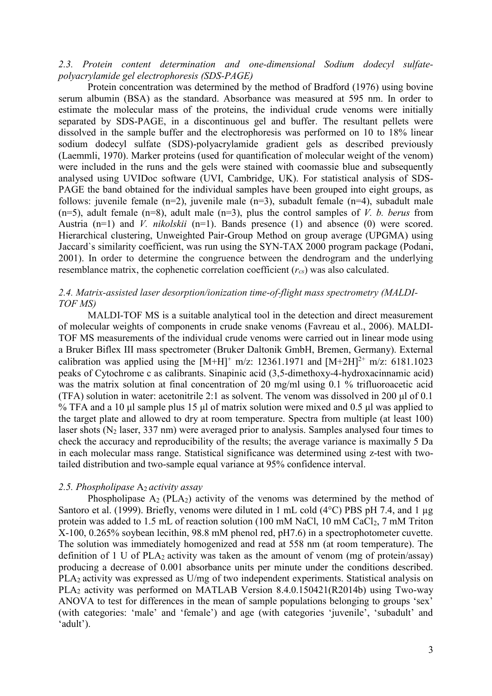## *2.3. Protein content determination and one-dimensional Sodium dodecyl sulfatepolyacrylamide gel electrophoresis (SDS-PAGE)*

Protein concentration was determined by the method of Bradford (1976) using bovine serum albumin (BSA) as the standard. Absorbance was measured at 595 nm. In order to estimate the molecular mass of the proteins, the individual crude venoms were initially separated by SDS-PAGE, in a discontinuous gel and buffer. The resultant pellets were dissolved in the sample buffer and the electrophoresis was performed on 10 to 18% linear sodium dodecyl sulfate (SDS)-polyacrylamide gradient gels as described previously (Laemmli, 1970). Marker proteins (used for quantification of molecular weight of the venom) were included in the runs and the gels were stained with coomassie blue and subsequently analysed using UVIDoc software (UVI, Cambridge, UK). For statistical analysis of SDS-PAGE the band obtained for the individual samples have been grouped into eight groups, as follows: juvenile female  $(n=2)$ , juvenile male  $(n=3)$ , subadult female  $(n=4)$ , subadult male (n=5), adult female (n=8), adult male (n=3), plus the control samples of *V. b. berus* from Austria (n=1) and *V. nikolskii* (n=1). Bands presence (1) and absence (0) were scored. Hierarchical clustering, Unweighted Pair-Group Method on group average (UPGMA) using Jaccard`s similarity coefficient, was run using the SYN-TAX 2000 program package (Podani, 2001). In order to determine the congruence between the dendrogram and the underlying resemblance matrix, the cophenetic correlation coefficient (*rcs*) was also calculated.

## *2.4. Matrix-assisted laser desorption/ionization time-of-flight mass spectrometry (MALDI-TOF MS)*

MALDI-TOF MS is a suitable analytical tool in the detection and direct measurement of molecular weights of components in crude snake venoms (Favreau et al., 2006). MALDI-TOF MS measurements of the individual crude venoms were carried out in linear mode using a Bruker Biflex III mass spectrometer (Bruker Daltonik GmbH, Bremen, Germany). External calibration was applied using the  $[M+H]^+$  m/z: 12361.1971 and  $[M+2H]^{2+}$  m/z: 6181.1023 peaks of Cytochrome c as calibrants. Sinapinic acid (3,5-dimethoxy-4-hydroxacinnamic acid) was the matrix solution at final concentration of 20 mg/ml using 0.1 % trifluoroacetic acid (TFA) solution in water: acetonitrile 2:1 as solvent. The venom was dissolved in 200 μl of 0.1 % TFA and a 10 μl sample plus 15 μl of matrix solution were mixed and 0.5 μl was applied to the target plate and allowed to dry at room temperature. Spectra from multiple (at least 100) laser shots  $(N_2$  laser, 337 nm) were averaged prior to analysis. Samples analysed four times to check the accuracy and reproducibility of the results; the average variance is maximally 5 Da in each molecular mass range. Statistical significance was determined using z-test with twotailed distribution and two-sample equal variance at 95% confidence interval.

### *2.5. Phospholipase* A2 *activity assay*

Phospholipase  $A_2$  (PLA<sub>2</sub>) activity of the venoms was determined by the method of Santoro et al. (1999). Briefly, venoms were diluted in 1 mL cold (4°C) PBS pH 7.4, and 1 µg protein was added to 1.5 mL of reaction solution (100 mM NaCl, 10 mM CaCl<sub>2</sub>, 7 mM Triton X-100, 0.265% soybean lecithin, 98.8 mM phenol red, pH7.6) in a spectrophotometer cuvette. The solution was immediately homogenized and read at 558 nm (at room temperature). The definition of 1 U of PLA<sub>2</sub> activity was taken as the amount of venom (mg of protein/assay) producing a decrease of 0.001 absorbance units per minute under the conditions described. PLA2 activity was expressed as U/mg of two independent experiments. Statistical analysis on PLA<sup>2</sup> activity was performed on MATLAB Version 8.4.0.150421(R2014b) using Two-way ANOVA to test for differences in the mean of sample populations belonging to groups 'sex' (with categories: 'male' and 'female') and age (with categories 'juvenile', 'subadult' and 'adult').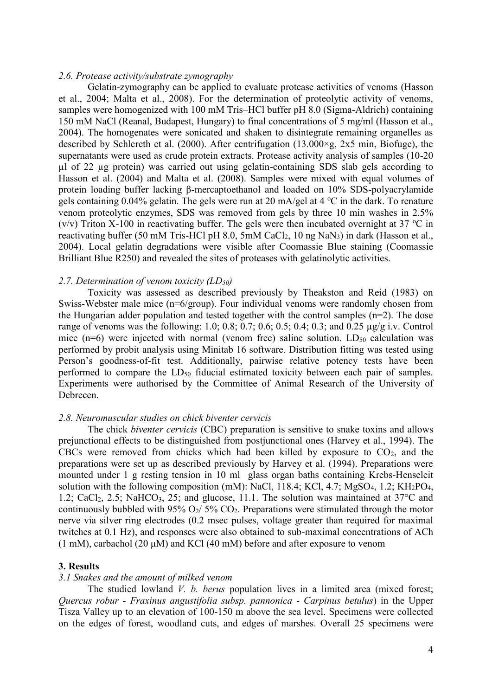#### *2.6. Protease activity/substrate zymography*

Gelatin-zymography can be applied to evaluate protease activities of venoms (Hasson et al., 2004; Malta et al., 2008). For the determination of proteolytic activity of venoms, samples were homogenized with 100 mM Tris–HCl buffer pH 8.0 (Sigma-Aldrich) containing 150 mM NaCl (Reanal, Budapest, Hungary) to final concentrations of 5 mg/ml (Hasson et al., 2004). The homogenates were sonicated and shaken to disintegrate remaining organelles as described by Schlereth et al. (2000). After centrifugation (13.000 $\times$ g, 2x5 min, Biofuge), the supernatants were used as crude protein extracts. Protease activity analysis of samples (10-20 µl of 22 µg protein) was carried out using gelatin-containing SDS slab gels according to Hasson et al. (2004) and Malta et al. (2008). Samples were mixed with equal volumes of protein loading buffer lacking β-mercaptoethanol and loaded on 10% SDS-polyacrylamide gels containing  $0.04\%$  gelatin. The gels were run at 20 mA/gel at 4  $\degree$ C in the dark. To renature venom proteolytic enzymes, SDS was removed from gels by three 10 min washes in 2.5% (v/v) Triton X-100 in reactivating buffer. The gels were then incubated overnight at 37  $^{\circ}$ C in reactivating buffer (50 mM Tris-HCl pH 8.0, 5mM CaCl<sub>2</sub>, 10 ng NaN<sub>3</sub>) in dark (Hasson et al., 2004). Local gelatin degradations were visible after Coomassie Blue staining (Coomassie Brilliant Blue R250) and revealed the sites of proteases with gelatinolytic activities.

#### *2.7. Determination of venom toxicity (LD50)*

Toxicity was assessed as described previously by Theakston and Reid (1983) on Swiss-Webster male mice (n=6/group). Four individual venoms were randomly chosen from the Hungarian adder population and tested together with the control samples (n=2). The dose range of venoms was the following: 1.0; 0.8; 0.7; 0.6; 0.5; 0.4; 0.3; and 0.25 µg/g i.v. Control mice ( $n=6$ ) were injected with normal (venom free) saline solution.  $LD_{50}$  calculation was performed by probit analysis using Minitab 16 software. Distribution fitting was tested using Person's goodness-of-fit test. Additionally, pairwise relative potency tests have been performed to compare the LD<sub>50</sub> fiducial estimated toxicity between each pair of samples. Experiments were authorised by the Committee of Animal Research of the University of Debrecen.

#### *2.8. Neuromuscular studies on chick biventer cervicis*

The chick *biventer cervicis* (CBC) preparation is sensitive to snake toxins and allows prejunctional effects to be distinguished from postjunctional ones (Harvey et al., 1994). The CBCs were removed from chicks which had been killed by exposure to  $CO<sub>2</sub>$ , and the preparations were set up as described previously by Harvey et al. (1994). Preparations were mounted under 1 g resting tension in 10 ml glass organ baths containing Krebs-Henseleit solution with the following composition (mM): NaCl,  $118.4$ ; KCl,  $4.7$ ; MgSO<sub>4</sub>,  $1.2$ ; KH<sub>2</sub>PO<sub>4</sub>, 1.2; CaCl<sub>2</sub>, 2.5; NaHCO<sub>3</sub>, 25; and glucose, 11.1. The solution was maintained at  $37^{\circ}$ C and continuously bubbled with 95%  $O_2/5\%$   $CO_2$ . Preparations were stimulated through the motor nerve via silver ring electrodes (0.2 msec pulses, voltage greater than required for maximal twitches at 0.1 Hz), and responses were also obtained to sub-maximal concentrations of ACh (1 mM), carbachol (20  $\mu$ M) and KCl (40 mM) before and after exposure to venom

#### **3. Results**

#### *3.1 Snakes and the amount of milked venom*

The studied lowland *V. b. berus* population lives in a limited area (mixed forest; *Quercus robur* - *Fraxinus angustifolia subsp. pannonica* - *Carpinus betulus*) in the Upper Tisza Valley up to an elevation of 100-150 m above the sea level. Specimens were collected on the edges of forest, woodland cuts, and edges of marshes. Overall 25 specimens were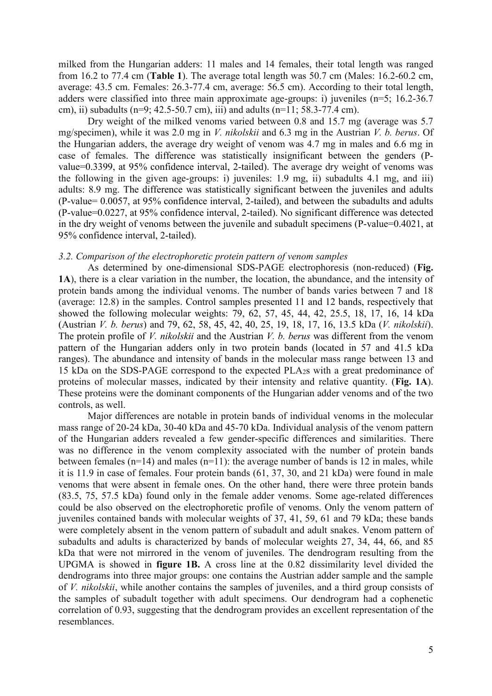milked from the Hungarian adders: 11 males and 14 females, their total length was ranged from 16.2 to 77.4 cm (**Table 1**). The average total length was 50.7 cm (Males: 16.2-60.2 cm, average: 43.5 cm. Females: 26.3-77.4 cm, average: 56.5 cm). According to their total length, adders were classified into three main approximate age-groups: i) juveniles (n=5; 16.2-36.7 cm), ii) subadults (n=9; 42.5-50.7 cm), iii) and adults (n=11; 58.3-77.4 cm).

Dry weight of the milked venoms varied between 0.8 and 15.7 mg (average was 5.7 mg/specimen), while it was 2.0 mg in *V. nikolskii* and 6.3 mg in the Austrian *V. b. berus*. Of the Hungarian adders, the average dry weight of venom was 4.7 mg in males and 6.6 mg in case of females. The difference was statistically insignificant between the genders (Pvalue=0.3399, at 95% confidence interval, 2-tailed). The average dry weight of venoms was the following in the given age-groups: i) juveniles: 1.9 mg, ii) subadults 4.1 mg, and iii) adults: 8.9 mg. The difference was statistically significant between the juveniles and adults (P-value= 0.0057, at 95% confidence interval, 2-tailed), and between the subadults and adults (P-value=0.0227, at 95% confidence interval, 2-tailed). No significant difference was detected in the dry weight of venoms between the juvenile and subadult specimens (P-value=0.4021, at 95% confidence interval, 2-tailed).

#### *3.2. Comparison of the electrophoretic protein pattern of venom samples*

As determined by one-dimensional SDS-PAGE electrophoresis (non-reduced) (**Fig. 1A**), there is a clear variation in the number, the location, the abundance, and the intensity of protein bands among the individual venoms. The number of bands varies between 7 and 18 (average: 12.8) in the samples. Control samples presented 11 and 12 bands, respectively that showed the following molecular weights: 79, 62, 57, 45, 44, 42, 25.5, 18, 17, 16, 14 kDa (Austrian *V. b. berus*) and 79, 62, 58, 45, 42, 40, 25, 19, 18, 17, 16, 13.5 kDa (*V. nikolskii*). The protein profile of *V. nikolskii* and the Austrian *V. b. berus* was different from the venom pattern of the Hungarian adders only in two protein bands (located in 57 and 41.5 kDa ranges). The abundance and intensity of bands in the molecular mass range between 13 and 15 kDa on the SDS-PAGE correspond to the expected PLA2s with a great predominance of proteins of molecular masses, indicated by their intensity and relative quantity. (**Fig. 1A**). These proteins were the dominant components of the Hungarian adder venoms and of the two controls, as well.

Major differences are notable in protein bands of individual venoms in the molecular mass range of 20-24 kDa, 30-40 kDa and 45-70 kDa. Individual analysis of the venom pattern of the Hungarian adders revealed a few gender-specific differences and similarities. There was no difference in the venom complexity associated with the number of protein bands between females  $(n=14)$  and males  $(n=11)$ : the average number of bands is 12 in males, while it is 11.9 in case of females. Four protein bands (61, 37, 30, and 21 kDa) were found in male venoms that were absent in female ones. On the other hand, there were three protein bands (83.5, 75, 57.5 kDa) found only in the female adder venoms. Some age-related differences could be also observed on the electrophoretic profile of venoms. Only the venom pattern of juveniles contained bands with molecular weights of 37, 41, 59, 61 and 79 kDa; these bands were completely absent in the venom pattern of subadult and adult snakes. Venom pattern of subadults and adults is characterized by bands of molecular weights 27, 34, 44, 66, and 85 kDa that were not mirrored in the venom of juveniles. The dendrogram resulting from the UPGMA is showed in **figure 1B.** A cross line at the 0.82 dissimilarity level divided the dendrograms into three major groups: one contains the Austrian adder sample and the sample of *V. nikolskii*, while another contains the samples of juveniles, and a third group consists of the samples of subadult together with adult specimens. Our dendrogram had a cophenetic correlation of 0.93, suggesting that the dendrogram provides an excellent representation of the resemblances.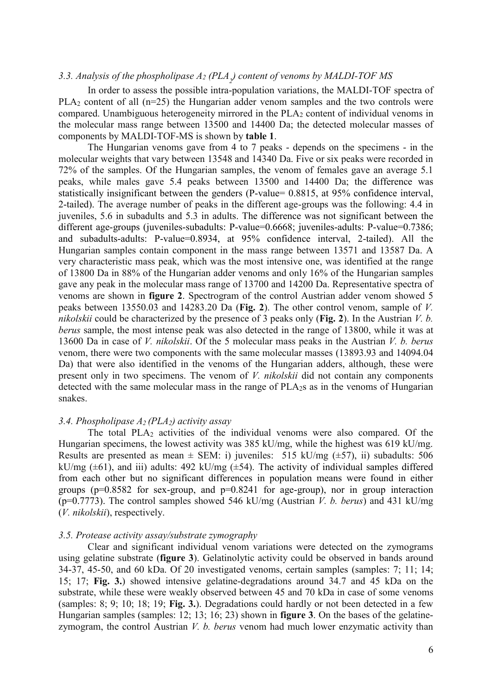# *3.3. Analysis of the phospholipase A<sup>2</sup> (PLA<sup>2</sup> ) content of venoms by MALDI-TOF MS*

In order to assess the possible intra-population variations, the MALDI-TOF spectra of PLA<sub>2</sub> content of all (n=25) the Hungarian adder venom samples and the two controls were compared. Unambiguous heterogeneity mirrored in the PLA<sup>2</sup> content of individual venoms in the molecular mass range between 13500 and 14400 Da; the detected molecular masses of components by MALDI-TOF-MS is shown by **table 1**.

The Hungarian venoms gave from 4 to 7 peaks - depends on the specimens - in the molecular weights that vary between 13548 and 14340 Da. Five or six peaks were recorded in 72% of the samples. Of the Hungarian samples, the venom of females gave an average 5.1 peaks, while males gave 5.4 peaks between 13500 and 14400 Da; the difference was statistically insignificant between the genders (P-value= 0.8815, at 95% confidence interval, 2-tailed). The average number of peaks in the different age-groups was the following: 4.4 in juveniles, 5.6 in subadults and 5.3 in adults. The difference was not significant between the different age-groups (juveniles-subadults: P-value=0.6668; juveniles-adults: P-value=0.7386; and subadults-adults: P-value=0.8934, at 95% confidence interval, 2-tailed). All the Hungarian samples contain component in the mass range between 13571 and 13587 Da. A very characteristic mass peak, which was the most intensive one, was identified at the range of 13800 Da in 88% of the Hungarian adder venoms and only 16% of the Hungarian samples gave any peak in the molecular mass range of 13700 and 14200 Da. Representative spectra of venoms are shown in **figure 2**. Spectrogram of the control Austrian adder venom showed 5 peaks between 13550.03 and 14283.20 Da (**Fig. 2**). The other control venom, sample of *V. nikolskii* could be characterized by the presence of 3 peaks only (**Fig. 2**). In the Austrian *V. b. berus* sample, the most intense peak was also detected in the range of 13800, while it was at 13600 Da in case of *V. nikolskii*. Of the 5 molecular mass peaks in the Austrian *V. b. berus* venom, there were two components with the same molecular masses (13893.93 and 14094.04 Da) that were also identified in the venoms of the Hungarian adders, although, these were present only in two specimens. The venom of *V. nikolskii* did not contain any components detected with the same molecular mass in the range of PLA2s as in the venoms of Hungarian snakes.

## *3.4. Phospholipase A2 (PLA2) activity assay*

The total PLA<sub>2</sub> activities of the individual venoms were also compared. Of the Hungarian specimens, the lowest activity was 385 kU/mg, while the highest was 619 kU/mg. Results are presented as mean  $\pm$  SEM: i) juveniles: 515 kU/mg ( $\pm$ 57), ii) subadults: 506 kU/mg ( $\pm$ 61), and iii) adults: 492 kU/mg ( $\pm$ 54). The activity of individual samples differed from each other but no significant differences in population means were found in either groups ( $p=0.8582$  for sex-group, and  $p=0.8241$  for age-group), nor in group interaction (p=0.7773). The control samples showed 546 kU/mg (Austrian *V. b. berus*) and 431 kU/mg (*V. nikolskii*), respectively.

#### *3.5. Protease activity assay/substrate zymography*

Clear and significant individual venom variations were detected on the zymograms using gelatine substrate (**figure 3**). Gelatinolytic activity could be observed in bands around 34-37, 45-50, and 60 kDa. Of 20 investigated venoms, certain samples (samples: 7; 11; 14; 15; 17; **Fig. 3.**) showed intensive gelatine-degradations around 34.7 and 45 kDa on the substrate, while these were weakly observed between 45 and 70 kDa in case of some venoms (samples: 8; 9; 10; 18; 19; **Fig. 3.**). Degradations could hardly or not been detected in a few Hungarian samples (samples: 12; 13; 16; 23) shown in **figure 3**. On the bases of the gelatinezymogram, the control Austrian *V. b. berus* venom had much lower enzymatic activity than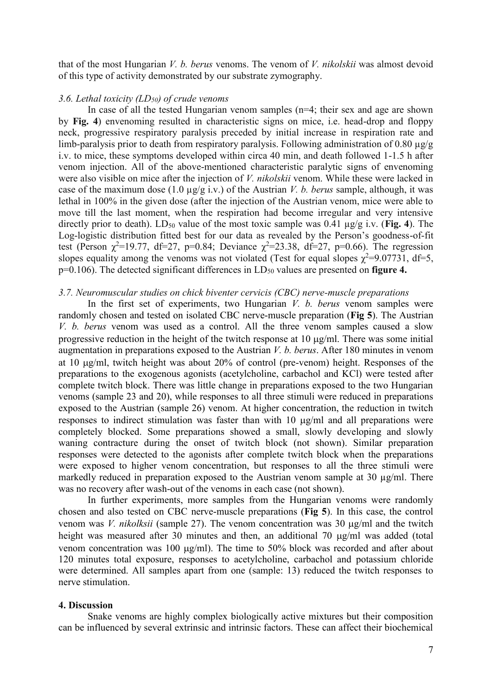that of the most Hungarian *V. b. berus* venoms. The venom of *V. nikolskii* was almost devoid of this type of activity demonstrated by our substrate zymography.

#### *3.6. Lethal toxicity (LD50) of crude venoms*

In case of all the tested Hungarian venom samples (n=4; their sex and age are shown by **Fig. 4**) envenoming resulted in characteristic signs on mice, i.e. head-drop and floppy neck, progressive respiratory paralysis preceded by initial increase in respiration rate and limb-paralysis prior to death from respiratory paralysis. Following administration of 0.80  $\mu$ g/g i.v. to mice, these symptoms developed within circa 40 min, and death followed 1-1.5 h after venom injection. All of the above-mentioned characteristic paralytic signs of envenoming were also visible on mice after the injection of *V. nikolskii* venom. While these were lacked in case of the maximum dose (1.0 µg/g i.v.) of the Austrian *V. b. berus* sample, although, it was lethal in 100% in the given dose (after the injection of the Austrian venom, mice were able to move till the last moment, when the respiration had become irregular and very intensive directly prior to death).  $LD_{50}$  value of the most toxic sample was 0.41  $\mu$ g/g i.v. (**Fig. 4**). The Log-logistic distribution fitted best for our data as revealed by the Person's goodness-of-fit test (Person  $\chi^2$ =19.77, df=27, p=0.84; Deviance  $\chi^2$ =23.38, df=27, p=0.66). The regression slopes equality among the venoms was not violated (Test for equal slopes  $\chi^2$ =9.07731, df=5, p=0.106). The detected significant differences in LD<sub>50</sub> values are presented on **figure 4.** 

#### *3.7. Neuromuscular studies on chick biventer cervicis (CBC) nerve-muscle preparations*

In the first set of experiments, two Hungarian *V. b. berus* venom samples were randomly chosen and tested on isolated CBC nerve-muscle preparation (**Fig 5**). The Austrian *V. b. berus* venom was used as a control. All the three venom samples caused a slow progressive reduction in the height of the twitch response at  $10 \mu g/ml$ . There was some initial augmentation in preparations exposed to the Austrian *V. b. berus*. After 180 minutes in venom at 10 ug/ml, twitch height was about 20% of control (pre-venom) height. Responses of the preparations to the exogenous agonists (acetylcholine, carbachol and KCl) were tested after complete twitch block. There was little change in preparations exposed to the two Hungarian venoms (sample 23 and 20), while responses to all three stimuli were reduced in preparations exposed to the Austrian (sample 26) venom. At higher concentration, the reduction in twitch responses to indirect stimulation was faster than with 10  $\mu$ g/ml and all preparations were completely blocked. Some preparations showed a small, slowly developing and slowly waning contracture during the onset of twitch block (not shown). Similar preparation responses were detected to the agonists after complete twitch block when the preparations were exposed to higher venom concentration, but responses to all the three stimuli were markedly reduced in preparation exposed to the Austrian venom sample at 30  $\mu$ g/ml. There was no recovery after wash-out of the venoms in each case (not shown).

In further experiments, more samples from the Hungarian venoms were randomly chosen and also tested on CBC nerve-muscle preparations (**Fig 5**). In this case, the control venom was *V. nikolksii* (sample 27). The venom concentration was 30 µg/ml and the twitch height was measured after 30 minutes and then, an additional 70  $\mu$ g/ml was added (total venom concentration was 100  $\mu$ g/ml). The time to 50% block was recorded and after about 120 minutes total exposure, responses to acetylcholine, carbachol and potassium chloride were determined. All samples apart from one (sample: 13) reduced the twitch responses to nerve stimulation.

#### **4. Discussion**

Snake venoms are highly complex biologically active mixtures but their composition can be influenced by several extrinsic and intrinsic factors. These can affect their biochemical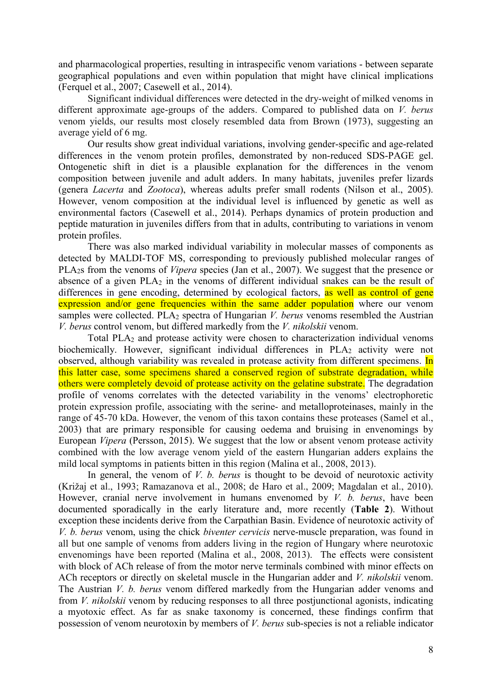and pharmacological properties, resulting in intraspecific venom variations - between separate geographical populations and even within population that might have clinical implications (Ferquel et al., 2007; Casewell et al., 2014).

Significant individual differences were detected in the dry-weight of milked venoms in different approximate age-groups of the adders. Compared to published data on *V. berus* venom yields, our results most closely resembled data from Brown (1973), suggesting an average yield of 6 mg.

Our results show great individual variations, involving gender-specific and age-related differences in the venom protein profiles, demonstrated by non-reduced SDS-PAGE gel. Ontogenetic shift in diet is a plausible explanation for the differences in the venom composition between juvenile and adult adders. In many habitats, juveniles prefer lizards (genera *Lacerta* and *Zootoca*), whereas adults prefer small rodents (Nilson et al., 2005). However, venom composition at the individual level is influenced by genetic as well as environmental factors (Casewell et al., 2014). Perhaps dynamics of protein production and peptide maturation in juveniles differs from that in adults, contributing to variations in venom protein profiles.

There was also marked individual variability in molecular masses of components as detected by MALDI-TOF MS, corresponding to previously published molecular ranges of PLA2s from the venoms of *Vipera* species (Jan et al., 2007). We suggest that the presence or absence of a given  $PLA_2$  in the venoms of different individual snakes can be the result of differences in gene encoding, determined by ecological factors, as well as control of gene expression and/or gene frequencies within the same adder population where our venom samples were collected. PLA<sub>2</sub> spectra of Hungarian *V. berus* venoms resembled the Austrian *V. berus* control venom, but differed markedly from the *V. nikolskii* venom.

Total PLA<sub>2</sub> and protease activity were chosen to characterization individual venoms biochemically. However, significant individual differences in PLA<sub>2</sub> activity were not observed, although variability was revealed in protease activity from different specimens. In this latter case, some specimens shared a conserved region of substrate degradation, while others were completely devoid of protease activity on the gelatine substrate. The degradation profile of venoms correlates with the detected variability in the venoms' electrophoretic protein expression profile, associating with the serine- and metalloproteinases, mainly in the range of 45-70 kDa. However, the venom of this taxon contains these proteases (Samel et al., 2003) that are primary responsible for causing oedema and bruising in envenomings by European *Vipera* (Persson, 2015). We suggest that the low or absent venom protease activity combined with the low average venom yield of the eastern Hungarian adders explains the mild local symptoms in patients bitten in this region (Malina et al., 2008, 2013).

In general, the venom of *V. b. berus* is thought to be devoid of neurotoxic activity (Križaj et al., 1993; Ramazanova et al., 2008; de Haro et al., 2009; Magdalan et al., 2010). However, cranial nerve involvement in humans envenomed by *V. b. berus*, have been documented sporadically in the early literature and, more recently (**Table 2**). Without exception these incidents derive from the Carpathian Basin. Evidence of neurotoxic activity of *V. b. berus* venom, using the chick *biventer cervicis* nerve-muscle preparation, was found in all but one sample of venoms from adders living in the region of Hungary where neurotoxic envenomings have been reported (Malina et al., 2008, 2013). The effects were consistent with block of ACh release of from the motor nerve terminals combined with minor effects on ACh receptors or directly on skeletal muscle in the Hungarian adder and *V. nikolskii* venom. The Austrian *V. b. berus* venom differed markedly from the Hungarian adder venoms and from *V. nikolskii* venom by reducing responses to all three postjunctional agonists, indicating a myotoxic effect. As far as snake taxonomy is concerned, these findings confirm that possession of venom neurotoxin by members of *V. berus* sub-species is not a reliable indicator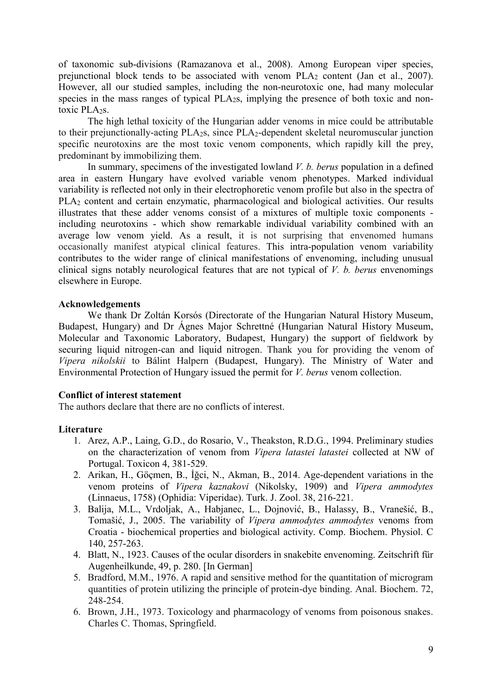of taxonomic sub-divisions (Ramazanova et al., 2008). Among European viper species, prejunctional block tends to be associated with venom PLA<sup>2</sup> content (Jan et al., 2007). However, all our studied samples, including the non-neurotoxic one, had many molecular species in the mass ranges of typical PLA<sub>2S</sub>, implying the presence of both toxic and nontoxic PLA<sub>2S</sub>.

The high lethal toxicity of the Hungarian adder venoms in mice could be attributable to their prejunctionally-acting PLA2s, since PLA2-dependent skeletal neuromuscular junction specific neurotoxins are the most toxic venom components, which rapidly kill the prey, predominant by immobilizing them.

In summary, specimens of the investigated lowland *V. b. berus* population in a defined area in eastern Hungary have evolved variable venom phenotypes. Marked individual variability is reflected not only in their electrophoretic venom profile but also in the spectra of PLA<sub>2</sub> content and certain enzymatic, pharmacological and biological activities. Our results illustrates that these adder venoms consist of a mixtures of multiple toxic components including neurotoxins - which show remarkable individual variability combined with an average low venom yield. As a result, it is not surprising that envenomed humans occasionally manifest atypical clinical features. This intra-population venom variability contributes to the wider range of clinical manifestations of envenoming, including unusual clinical signs notably neurological features that are not typical of *V. b. berus* envenomings elsewhere in Europe.

## **Acknowledgements**

We thank Dr Zoltán Korsós (Directorate of the Hungarian Natural History Museum, Budapest, Hungary) and Dr Ágnes Major Schrettné (Hungarian Natural History Museum, Molecular and Taxonomic Laboratory, Budapest, Hungary) the support of fieldwork by securing liquid nitrogen-can and liquid nitrogen. Thank you for providing the venom of *Vipera nikolskii* to Bálint Halpern (Budapest, Hungary). The Ministry of Water and Environmental Protection of Hungary issued the permit for *V. berus* venom collection.

## **Conflict of interest statement**

The authors declare that there are no conflicts of interest.

## **Literature**

- 1. Arez, A.P., Laing, G.D., do Rosario, V., Theakston, R.D.G., 1994. Preliminary studies on the characterization of venom from *Vipera latastei latastei* collected at NW of Portugal. Toxicon 4, 381-529.
- 2. Arikan, H., Göçmen, B., İğci, N., Akman, B., 2014. Age-dependent variations in the venom proteins of *Vipera kaznakovi* (Nikolsky, 1909) and *Vipera ammodytes*  (Linnaeus, 1758) (Ophidia: Viperidae). Turk. J. Zool. 38, 216-221.
- 3. Balija, M.L., Vrdoljak, A., Habjanec, L., Dojnović, B., Halassy, B., Vranešić, B., Tomašić, J., 2005. The variability of *Vipera ammodytes ammodytes* venoms from Croatia - biochemical properties and biological activity. Comp. Biochem. Physiol. C 140, 257-263.
- 4. Blatt, N., 1923. Causes of the ocular disorders in snakebite envenoming. Zeitschrift für Augenheilkunde, 49, p. 280. [In German]
- 5. Bradford, M.M., 1976. A rapid and sensitive method for the quantitation of microgram quantities of protein utilizing the principle of protein-dye binding. Anal. Biochem. 72, 248-254.
- 6. Brown, J.H., 1973. Toxicology and pharmacology of venoms from poisonous snakes. Charles C. Thomas, Springfield.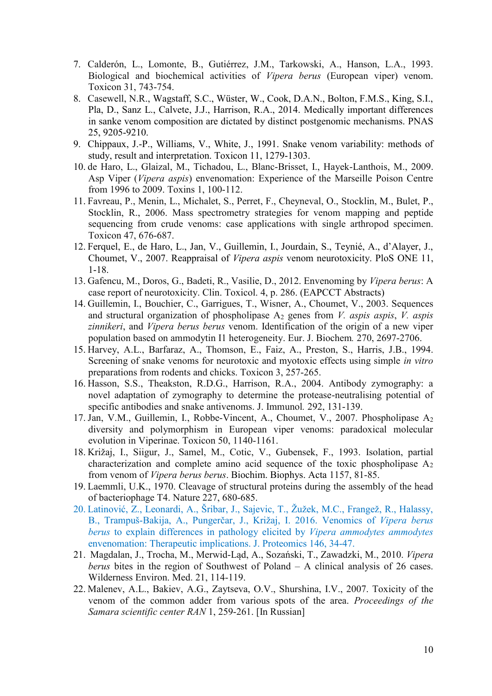- 7. Calderón, L., Lomonte, B., Gutiérrez, J.M., Tarkowski, A., Hanson, L.A., 1993. Biological and biochemical activities of *Vipera berus* (European viper) venom. Toxicon 31, 743-754.
- 8. Casewell, N.R., Wagstaff, S.C., Wüster, W., Cook, D.A.N., Bolton, F.M.S., King, S.I., Pla, D., Sanz L., Calvete, J.J., Harrison, R.A., 2014. Medically important differences in sanke venom composition are dictated by distinct postgenomic mechanisms. PNAS 25, 9205-9210.
- 9. Chippaux, J.-P., Williams, V., White, J., 1991. Snake venom variability: methods of study, result and interpretation. Toxicon 11, 1279-1303.
- 10. de Haro, L., Glaizal, M., Tichadou, L., Blanc-Brisset, I., Hayek-Lanthois, M., 2009. Asp Viper (*Vipera aspis*) envenomation: Experience of the Marseille Poison Centre from 1996 to 2009. Toxins 1, 100-112.
- 11. Favreau, P., Menin, L., Michalet, S., Perret, F., Cheyneval, O., Stocklin, M., Bulet, P., Stocklin, R., 2006. Mass spectrometry strategies for venom mapping and peptide sequencing from crude venoms: case applications with single arthropod specimen. Toxicon 47, 676-687.
- 12. Ferquel, E., de Haro, L., Jan, V., Guillemin, I., Jourdain, S., Teynié, A., d'Alayer, J., Choumet, V., 2007. Reappraisal of *Vipera aspis* venom neurotoxicity. PloS ONE 11, 1-18.
- 13. Gafencu, M., Doros, G., Badeti, R., Vasilie, D., 2012. Envenoming by *Vipera berus*: A case report of neurotoxicity. Clin. Toxicol. 4, p. 286. (EAPCCT Abstracts)
- 14. Guillemin, I., Bouchier, C., Garrigues, T., Wisner, A., Choumet, V., 2003. Sequences and structural organization of phospholipase A<sup>2</sup> genes from *V. aspis aspis*, *V. aspis zinnikeri*, and *Vipera berus berus* venom. Identification of the origin of a new viper population based on ammodytin I1 heterogeneity. Eur. J. Biochem*.* 270, 2697-2706.
- 15. Harvey, A.L., Barfaraz, A., Thomson, E., Faiz, A., Preston, S., Harris, J.B., 1994. Screening of snake venoms for neurotoxic and myotoxic effects using simple *in vitro* preparations from rodents and chicks. Toxicon 3, 257-265.
- 16. Hasson, S.S., Theakston, R.D.G., Harrison, R.A., 2004. Antibody zymography: a novel adaptation of zymography to determine the protease-neutralising potential of specific antibodies and snake antivenoms. J. Immunol*.* 292, 131-139.
- 17. Jan, V.M., Guillemin, I., Robbe-Vincent, A., Choumet, V., 2007. Phospholipase A<sup>2</sup> diversity and polymorphism in European viper venoms: paradoxical molecular evolution in Viperinae. Toxicon 50, 1140-1161.
- 18. Križaj, I., Siigur, J., Samel, M., Cotic, V., Gubensek, F., 1993. Isolation, partial characterization and complete amino acid sequence of the toxic phospholipase A<sup>2</sup> from venom of *Vipera berus berus*. Biochim. Biophys. Acta 1157, 81-85.
- 19. Laemmli, U.K., 1970. Cleavage of structural proteins during the assembly of the head of bacteriophage T4. Nature 227, 680-685.
- 20. Latinović, Z., Leonardi, A., Šribar, J., Sajevic, T., Žužek, M.C., Frangež, R., Halassy, B., Trampuš-Bakija, A., Pungerčar, J., Križaj, I. 2016. Venomics of *Vipera berus berus* to explain differences in pathology elicited by *Vipera ammodytes ammodytes* envenomation: Therapeutic implications. J. Proteomics 146, 34-47.
- 21. Magdalan, J., Trocha, M., Merwid-Ląd, A., Sozański, T., Zawadzki, M., 2010. *Vipera berus* bites in the region of Southwest of Poland – A clinical analysis of 26 cases. Wilderness Environ. Med. 21, 114-119.
- 22. Malenev, A.L., Bakiev, A.G., Zaytseva, O.V., Shurshina, I.V., 2007. Toxicity of the venom of the common adder from various spots of the area. *Proceedings of the Samara scientific center RAN* 1, 259-261. [In Russian]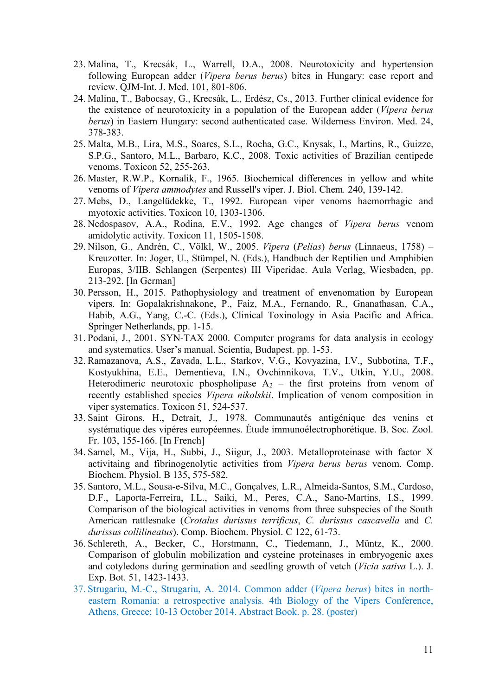- 23. Malina, T., Krecsák, L., Warrell, D.A., 2008. Neurotoxicity and hypertension following European adder (*Vipera berus berus*) bites in Hungary: case report and review. QJM-Int. J. Med. 101, 801-806.
- 24. Malina, T., Babocsay, G., Krecsák, L., Erdész, Cs., 2013. Further clinical evidence for the existence of neurotoxicity in a population of the European adder (*Vipera berus berus*) in Eastern Hungary: second authenticated case. Wilderness Environ. Med. 24, 378-383.
- 25. Malta, M.B., Lira, M.S., Soares, S.L., Rocha, G.C., Knysak, I., Martins, R., Guizze, S.P.G., Santoro, M.L., Barbaro, K.C., 2008. Toxic activities of Brazilian centipede venoms. Toxicon 52, 255-263.
- 26. Master, R.W.P., Kornalik, F., 1965. Biochemical differences in yellow and white venoms of *Vipera ammodytes* and Russell's viper. J. Biol. Chem*.* 240, 139-142.
- 27. Mebs, D., Langelüdekke, T., 1992. European viper venoms haemorrhagic and myotoxic activities. Toxicon 10, 1303-1306.
- 28. Nedospasov, A.A., Rodina, E.V., 1992. Age changes of *Vipera berus* venom amidolytic activity. Toxicon 11, 1505-1508.
- 29. Nilson, G., Andrén, C., Völkl, W., 2005. *Vipera* (*Pelias*) *berus* (Linnaeus, 1758) Kreuzotter. In: Joger, U., Stümpel, N. (Eds.), Handbuch der Reptilien und Amphibien Europas, 3/IIB. Schlangen (Serpentes) III Viperidae. Aula Verlag, Wiesbaden, pp. 213-292. [In German]
- 30. Persson, H., 2015. Pathophysiology and treatment of envenomation by European vipers. In: Gopalakrishnakone, P., Faiz, M.A., Fernando, R., Gnanathasan, C.A., Habib, A.G., Yang, C.-C. (Eds.), Clinical Toxinology in Asia Pacific and Africa. Springer Netherlands, pp. 1-15.
- 31. Podani, J., 2001. SYN-TAX 2000. Computer programs for data analysis in ecology and systematics. User's manual. Scientia, Budapest. pp. 1-53.
- 32. Ramazanova, A.S., Zavada, L.L., Starkov, V.G., Kovyazina, I.V., Subbotina, T.F., Kostyukhina, E.E., Dementieva, I.N., Ovchinnikova, T.V., Utkin, Y.U., 2008. Heterodimeric neurotoxic phospholipase  $A_2$  – the first proteins from venom of recently established species *Vipera nikolskii*. Implication of venom composition in viper systematics. Toxicon 51, 524-537.
- 33. Saint Girons, H., Detrait, J., 1978. Communautés antigénique des venins et systématique des vipéres européennes. Étude immunoélectrophorétique. B. Soc. Zool. Fr. 103, 155-166. [In French]
- 34. Samel, M., Vija, H., Subbi, J., Siigur, J., 2003. Metalloproteinase with factor X activitaing and fibrinogenolytic activities from *Vipera berus berus* venom. Comp. Biochem. Physiol. B 135, 575-582.
- 35. Santoro, M.L., Sousa-e-Silva, M.C., Gonçalves, L.R., Almeida-Santos, S.M., Cardoso, D.F., Laporta-Ferreira, I.L., Saiki, M., Peres, C.A., Sano-Martins, I.S., 1999. Comparison of the biological activities in venoms from three subspecies of the South American rattlesnake (*Crotalus durissus terrificus*, *C. durissus cascavella* and *C. durissus collilineatus*). Comp. Biochem. Physiol. C 122, 61-73.
- 36. Schlereth, A., Becker, C., Horstmann, C., Tiedemann, J., Müntz, K., 2000. Comparison of globulin mobilization and cysteine proteinases in embryogenic axes and cotyledons during germination and seedling growth of vetch (*Vicia sativa* L.). J. Exp. Bot. 51, 1423-1433.
- 37. Strugariu, M.-C., Strugariu, A. 2014. Common adder (*Vipera berus*) bites in northeastern Romania: a retrospective analysis. 4th Biology of the Vipers Conference, Athens, Greece; 10-13 October 2014. Abstract Book. p. 28. (poster)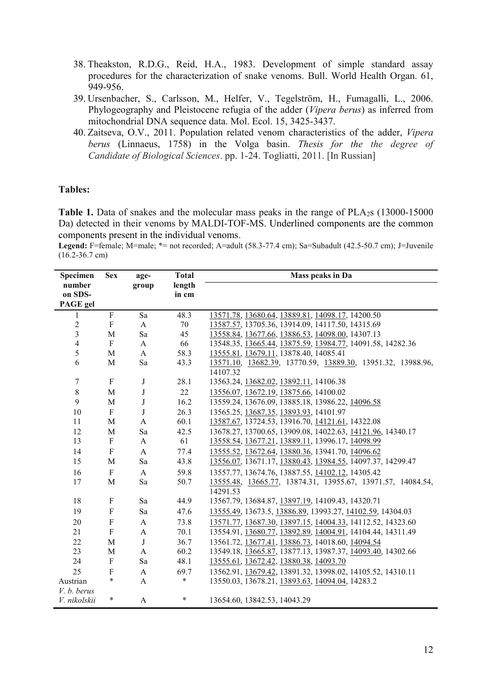- 38. Theakston, R.D.G., Reid, H.A., 1983. Development of simple standard assay procedures for the characterization of snake venoms. Bull. World Health Organ. 61, 949-956.
- 39. Ursenbacher, S., Carlsson, M., Helfer, V., Tegelström, H., Fumagalli, L., 2006. Phylogeography and Pleistocene refugia of the adder (*Vipera berus*) as inferred from mitochondrial DNA sequence data. Mol. Ecol. 15, 3425-3437.
- 40. Zaitseva, O.V., 2011. Population related venom characteristics of the adder, *Vipera berus* (Linnaeus, 1758) in the Volga basin. *Thesis for the the degree of Candidate of Biological Sciences*. pp. 1-24. Togliatti, 2011. [In Russian]

## **Tables:**

**Table 1.** Data of snakes and the molecular mass peaks in the range of PLA<sub>2</sub>s (13000-15000) Da) detected in their venoms by MALDI-TOF-MS. Underlined components are the common components present in the individual venoms.

**Legend:** F=female; M=male; \*= not recorded; A=adult (58.3-77.4 cm); Sa=Subadult (42.5-50.7 cm); J=Juvenile (16.2-36.7 cm)

| Specimen                      | <b>Sex</b>   | age-         | <b>Total</b>    | Mass peaks in Da                                                        |  |  |
|-------------------------------|--------------|--------------|-----------------|-------------------------------------------------------------------------|--|--|
| number<br>on SDS-<br>PAGE gel |              | group        | length<br>in cm |                                                                         |  |  |
| $\mathbf{1}$                  | F            | Sa           | 48.3            | 13571.78, 13680.64, 13889.81, 14098.17, 14200.50                        |  |  |
| $\sqrt{2}$                    | F            | $\mathbf{A}$ | 70              | 13587.57, 13705.36, 13914.09, 14117.50, 14315.69                        |  |  |
| $\overline{\mathbf{3}}$       | M            | Sa           | 45              | 13558.84, 13677.66, 13886.53, 14098.00, 14307.13                        |  |  |
| $\overline{4}$                | F            | $\mathbf{A}$ | 66              | 13548.35, 13665.44, 13875.59, 13984.77, 14091.58, 14282.36              |  |  |
| 5                             | $\mathbf{M}$ | $\mathbf{A}$ | 58.3            | 13555.81, 13679.11, 13878.40, 14085.41                                  |  |  |
| 6                             | M            | Sa           | 43.3            | 13571.10, 13682.39, 13770.59, 13889.30, 13951.32, 13988.96,<br>14107.32 |  |  |
| $\tau$                        | F            | $\bf J$      | 28.1            | 13563.24, 13682.02, 13892.11, 14106.38                                  |  |  |
| $\,8\,$                       | M            | J            | 22              | 13556.07, 13672.19, 13875.66, 14100.02                                  |  |  |
| 9                             | M            | J            | 16.2            | 13559.24, 13676.09, 13885.18, 13986.22, 14096.58                        |  |  |
| 10                            | $\mathbf{F}$ | J            | 26.3            | 13565.25, 13687.35, 13893.93, 14101.97                                  |  |  |
| 11                            | M            | A            | 60.1            | 13587.67, 13724.53, 13916.70, 14121.61, 14322.08                        |  |  |
| 12                            | M            | Sa           | 42.5            | 13678.27, 13700.65, 13909.08, 14022.63, 14121.96, 14340.17              |  |  |
| 13                            | F            | A            | 61              | 13558.54, 13677.21, 13889.11, 13996.17, 14098.99                        |  |  |
| 14                            | F            | A            | 77.4            | 13555.52, 13672.64, 13880.36, 13941.70, 14096.62                        |  |  |
| 15                            | M            | Sa           | 43.8            | 13556.07, 13671.17, 13880.43, 13984.55, 14097.37, 14299.47              |  |  |
| 16                            | $\mathbf{F}$ | $\mathbf{A}$ | 59.8            | 13557.77, 13674.76, 13887.55, 14102.12, 14305.42                        |  |  |
| 17                            | M            | Sa           | 50.7            | 13555.48, 13665.77, 13874.31, 13955.67, 13971.57, 14084.54,<br>14291.53 |  |  |
| 18                            | F            | Sa           | 44.9            | 13567.79, 13684.87, 13897.19, 14109.43, 14320.71                        |  |  |
| 19                            | F            | Sa           | 47.6            | 13555.49, 13673.5, 13886.89, 13993.27, 14102.59, 14304.03               |  |  |
| 20                            | F            | A            | 73.8            | 13571.77, 13687.30, 13897.15, 14004.33, 14112.52, 14323.60              |  |  |
| 21                            | $\rm F$      | A            | 70.1            | 13554.91, 13680.77, 13892.89, 14004.91, 14104.44, 14311.49              |  |  |
| 22                            | M            | $\bf J$      | 36.7            | 13561.72, 13677.41, 13886.73, 14018.60, 14094.54                        |  |  |
| 23                            | M            | A            | 60.2            | 13549.18, 13665.87, 13877.13, 13987.37, 14093.40, 14302.66              |  |  |
| 24                            | $\mathbf{F}$ | Sa           | 48.1            | 13555.61, 13672.42, 13880.38, 14093.70                                  |  |  |
| 25                            | F            | $\mathbf{A}$ | 69.7            | 13562.91, 13679.42, 13891.32, 13998.02, 14105.52, 14310.11              |  |  |
| Austrian<br>V. b. berus       | $\ast$       | A            | *               | 13550.03, 13678.21, 13893.63, 14094.04, 14283.2                         |  |  |
| V. nikolskii                  | *            | A            | $\ast$          | 13654.60, 13842.53, 14043.29                                            |  |  |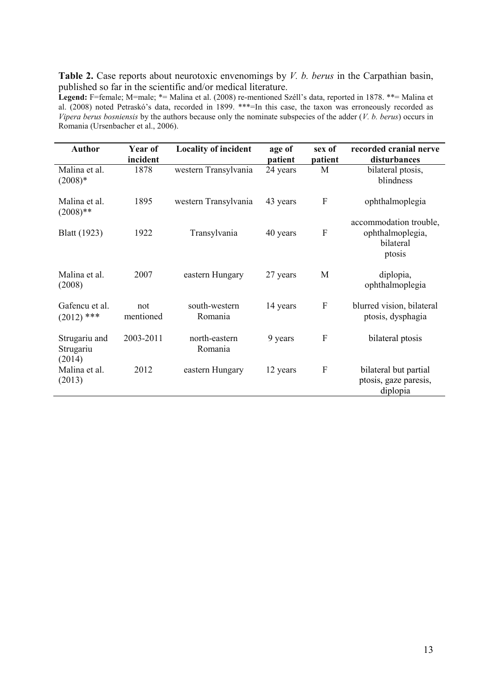**Table 2.** Case reports about neurotoxic envenomings by *V. b. berus* in the Carpathian basin, published so far in the scientific and/or medical literature.

**Legend:** F=female; M=male; \*= Malina et al. (2008) re-mentioned Széll's data, reported in 1878. \*\*= Malina et al. (2008) noted Petraskó's data, recorded in 1899. \*\*\*=In this case, the taxon was erroneously recorded as *Vipera berus bosniensis* by the authors because only the nominate subspecies of the adder (*V. b. berus*) occurs in Romania (Ursenbacher et al., 2006).

| <b>Author</b>                        | Year of<br>incident | <b>Locality of incident</b> | age of<br>patient | sex of<br>patient         | recorded cranial nerve<br>disturbances                            |
|--------------------------------------|---------------------|-----------------------------|-------------------|---------------------------|-------------------------------------------------------------------|
| Malina et al.<br>$(2008)*$           | 1878                | western Transylvania        | 24 years          | M                         | bilateral ptosis,<br>blindness                                    |
| Malina et al.<br>$(2008)$ **         | 1895                | western Transylvania        | 43 years          | $\boldsymbol{F}$          | ophthalmoplegia                                                   |
| <b>Blatt</b> (1923)                  | 1922                | Transylvania                | 40 years          | $\boldsymbol{F}$          | accommodation trouble,<br>ophthalmoplegia,<br>bilateral<br>ptosis |
| Malina et al.<br>(2008)              | 2007                | eastern Hungary             | 27 years          | M                         | diplopia,<br>ophthalmoplegia                                      |
| Gafencu et al.<br>$(2012)$ ***       | not<br>mentioned    | south-western<br>Romania    | 14 years          | $\mathbf{F}$              | blurred vision, bilateral<br>ptosis, dysphagia                    |
| Strugariu and<br>Strugariu<br>(2014) | 2003-2011           | north-eastern<br>Romania    | 9 years           | $\boldsymbol{F}$          | bilateral ptosis                                                  |
| Malina et al.<br>(2013)              | 2012                | eastern Hungary             | 12 years          | $\boldsymbol{\mathrm{F}}$ | bilateral but partial<br>ptosis, gaze paresis,<br>diplopia        |